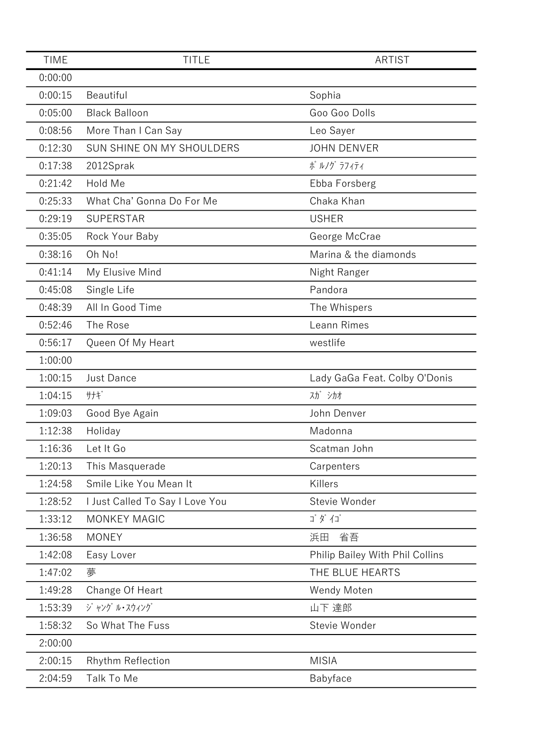| <b>TIME</b> | <b>TITLE</b>                    | <b>ARTIST</b>                   |
|-------------|---------------------------------|---------------------------------|
| 0:00:00     |                                 |                                 |
| 0:00:15     | Beautiful                       | Sophia                          |
| 0:05:00     | <b>Black Balloon</b>            | Goo Goo Dolls                   |
| 0:08:56     | More Than I Can Say             | Leo Sayer                       |
| 0:12:30     | SUN SHINE ON MY SHOULDERS       | <b>JOHN DENVER</b>              |
| 0:17:38     | 2012Sprak                       | ポ ルノグ ラフィティ                     |
| 0:21:42     | Hold Me                         | Ebba Forsberg                   |
| 0:25:33     | What Cha' Gonna Do For Me       | Chaka Khan                      |
| 0:29:19     | <b>SUPERSTAR</b>                | <b>USHER</b>                    |
| 0:35:05     | Rock Your Baby                  | George McCrae                   |
| 0:38:16     | Oh No!                          | Marina & the diamonds           |
| 0:41:14     | My Elusive Mind                 | Night Ranger                    |
| 0:45:08     | Single Life                     | Pandora                         |
| 0:48:39     | All In Good Time                | The Whispers                    |
| 0:52:46     | The Rose                        | Leann Rimes                     |
| 0:56:17     | Queen Of My Heart               | westlife                        |
| 1:00:00     |                                 |                                 |
| 1:00:15     | Just Dance                      | Lady GaGa Feat. Colby O'Donis   |
| 1:04:15     | サナギ                             | スガ シカオ                          |
| 1:09:03     | Good Bye Again                  | John Denver                     |
| 1:12:38     | Holiday                         | Madonna                         |
| 1:16:36     | Let It Go                       | Scatman John                    |
| 1:20:13     | This Masquerade                 | Carpenters                      |
| 1:24:58     | Smile Like You Mean It          | Killers                         |
| 1:28:52     | I Just Called To Say I Love You | Stevie Wonder                   |
| 1:33:12     | <b>MONKEY MAGIC</b>             | ゴダイゴ                            |
| 1:36:58     | <b>MONEY</b>                    | 省吾<br>浜田                        |
| 1:42:08     | Easy Lover                      | Philip Bailey With Phil Collins |
| 1:47:02     | 夢                               | THE BLUE HEARTS                 |
| 1:49:28     | Change Of Heart                 | Wendy Moten                     |
| 1:53:39     | ジャング ル・スウィング                    | 山下 達郎                           |
| 1:58:32     | So What The Fuss                | Stevie Wonder                   |
| 2:00:00     |                                 |                                 |
| 2:00:15     | <b>Rhythm Reflection</b>        | <b>MISIA</b>                    |
| 2:04:59     | Talk To Me                      | Babyface                        |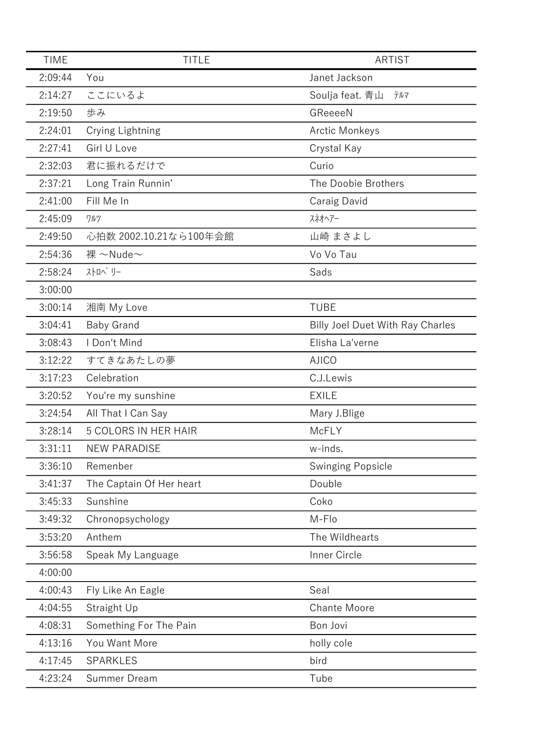| <b>TIME</b> | <b>TITLE</b>                | <b>ARTIST</b>                           |
|-------------|-----------------------------|-----------------------------------------|
| 2:09:44     | You                         | Janet Jackson                           |
| 2:14:27     | ここにいるよ                      | Soulja feat. 青山<br>テルマ                  |
| 2:19:50     | 歩み                          | GReeeeN                                 |
| 2:24:01     | Crying Lightning            | <b>Arctic Monkeys</b>                   |
| 2:27:41     | Girl U Love                 | Crystal Kay                             |
| 2:32:03     | 君に振れるだけで                    | Curio                                   |
| 2:37:21     | Long Train Runnin'          | The Doobie Brothers                     |
| 2:41:00     | Fill Me In                  | Caraig David                            |
| 2:45:09     | ワルツ                         | スネオヘアー                                  |
| 2:49:50     | 心拍数 2002.10.21なら100年会館      | 山崎 まさよし                                 |
| 2:54:36     | 裸 $\sim$ Nude $\sim$        | Vo Vo Tau                               |
| 2:58:24     | ストロへ リー                     | Sads                                    |
| 3:00:00     |                             |                                         |
| 3:00:14     | 湘南 My Love                  | <b>TUBE</b>                             |
| 3:04:41     | <b>Baby Grand</b>           | <b>Billy Joel Duet With Ray Charles</b> |
| 3:08:43     | I Don't Mind                | Elisha La'verne                         |
| 3:12:22     | すてきなあたしの夢                   | <b>AJICO</b>                            |
| 3:17:23     | Celebration                 | C.J.Lewis                               |
| 3:20:52     | You're my sunshine          | <b>EXILE</b>                            |
| 3:24:54     | All That I Can Say          | Mary J.Blige                            |
| 3:28:14     | <b>5 COLORS IN HER HAIR</b> | <b>McFLY</b>                            |
| 3:31:11     | <b>NEW PARADISE</b>         | w-inds.                                 |
| 3:36:10     | Remenber                    | <b>Swinging Popsicle</b>                |
| 3:41:37     | The Captain Of Her heart    | Double                                  |
| 3:45:33     | Sunshine                    | Coko                                    |
| 3:49:32     | Chronopsychology            | M-Flo                                   |
| 3:53:20     | Anthem                      | The Wildhearts                          |
| 3:56:58     | Speak My Language           | Inner Circle                            |
| 4:00:00     |                             |                                         |
| 4:00:43     | Fly Like An Eagle           | Seal                                    |
| 4:04:55     | Straight Up                 | <b>Chante Moore</b>                     |
| 4:08:31     | Something For The Pain      | Bon Jovi                                |
| 4:13:16     | You Want More               | holly cole                              |
| 4:17:45     | <b>SPARKLES</b>             | bird                                    |
| 4:23:24     | Summer Dream                | Tube                                    |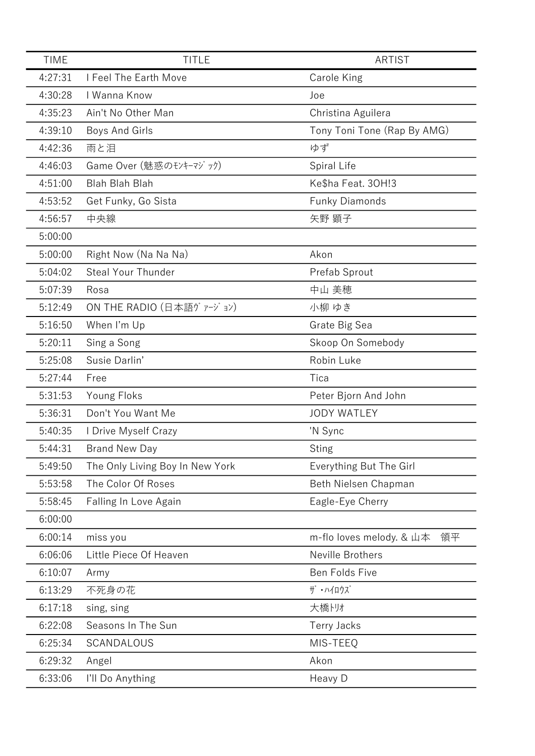| <b>TIME</b> | <b>TITLE</b>                    | <b>ARTIST</b>                  |
|-------------|---------------------------------|--------------------------------|
| 4:27:31     | I Feel The Earth Move           | Carole King                    |
| 4:30:28     | I Wanna Know                    | Joe                            |
| 4:35:23     | Ain't No Other Man              | Christina Aguilera             |
| 4:39:10     | Boys And Girls                  | Tony Toni Tone (Rap By AMG)    |
| 4:42:36     | 雨と泪                             | ゆず                             |
| 4:46:03     | Game Over (魅惑のモンキーマジック)         | Spiral Life                    |
| 4:51:00     | <b>Blah Blah Blah</b>           | Ke\$ha Feat. 30H!3             |
| 4:53:52     | Get Funky, Go Sista             | <b>Funky Diamonds</b>          |
| 4:56:57     | 中央線                             | 矢野 顕子                          |
| 5:00:00     |                                 |                                |
| 5:00:00     | Right Now (Na Na Na)            | Akon                           |
| 5:04:02     | <b>Steal Your Thunder</b>       | Prefab Sprout                  |
| 5:07:39     | Rosa                            | 中山 美穂                          |
| 5:12:49     | ON THE RADIO (日本語ヴァージョン)        | 小柳 ゆき                          |
| 5:16:50     | When I'm Up                     | Grate Big Sea                  |
| 5:20:11     | Sing a Song                     | Skoop On Somebody              |
| 5:25:08     | Susie Darlin'                   | Robin Luke                     |
| 5:27:44     | Free                            | Tica                           |
| 5:31:53     | Young Floks                     | Peter Bjorn And John           |
| 5:36:31     | Don't You Want Me               | <b>JODY WATLEY</b>             |
| 5:40:35     | I Drive Myself Crazy            | 'N Sync                        |
| 5:44:31     | <b>Brand New Day</b>            | <b>Sting</b>                   |
| 5:49:50     | The Only Living Boy In New York | Everything But The Girl        |
| 5:53:58     | The Color Of Roses              | Beth Nielsen Chapman           |
| 5:58:45     | Falling In Love Again           | Eagle-Eye Cherry               |
| 6:00:00     |                                 |                                |
| 6:00:14     | miss you                        | m-flo loves melody. & 山本<br>領平 |
| 6:06:06     | Little Piece Of Heaven          | Neville Brothers               |
| 6:10:07     | Army                            | Ben Folds Five                 |
| 6:13:29     | 不死身の花                           | ザ・ハイロウズ                        |
| 6:17:18     | sing, sing                      | 大橋トリオ                          |
| 6:22:08     | Seasons In The Sun              | <b>Terry Jacks</b>             |
| 6:25:34     | SCANDALOUS                      | MIS-TEEQ                       |
| 6:29:32     | Angel                           | Akon                           |
| 6:33:06     | I'll Do Anything                | Heavy D                        |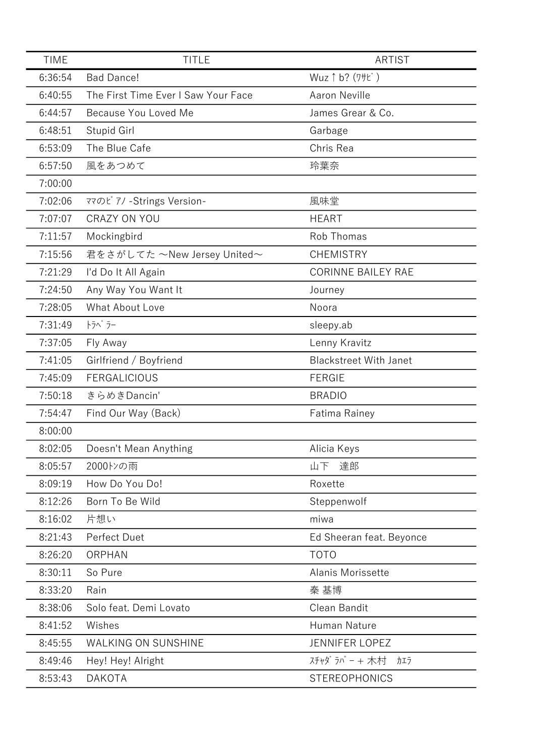| <b>TIME</b> | <b>TITLE</b>                        | <b>ARTIST</b>                 |
|-------------|-------------------------------------|-------------------------------|
| 6:36:54     | <b>Bad Dance!</b>                   | Wuz 1 b? (7+t)                |
| 6:40:55     | The First Time Ever I Saw Your Face | <b>Aaron Neville</b>          |
| 6:44:57     | Because You Loved Me                | James Grear & Co.             |
| 6:48:51     | Stupid Girl                         | Garbage                       |
| 6:53:09     | The Blue Cafe                       | Chris Rea                     |
| 6:57:50     | 風をあつめて                              | 玲葉奈                           |
| 7:00:00     |                                     |                               |
| 7:02:06     | ママのピアノ - Strings Version-           | 風味堂                           |
| 7:07:07     | <b>CRAZY ON YOU</b>                 | <b>HEART</b>                  |
| 7:11:57     | Mockingbird                         | Rob Thomas                    |
| 7:15:56     | 君をさがしてた ~New Jersey United~         | <b>CHEMISTRY</b>              |
| 7:21:29     | I'd Do It All Again                 | <b>CORINNE BAILEY RAE</b>     |
| 7:24:50     | Any Way You Want It                 | Journey                       |
| 7:28:05     | What About Love                     | Noora                         |
| 7:31:49     | トラベラー                               | sleepy.ab                     |
| 7:37:05     | Fly Away                            | Lenny Kravitz                 |
| 7:41:05     | Girlfriend / Boyfriend              | <b>Blackstreet With Janet</b> |
| 7:45:09     | <b>FERGALICIOUS</b>                 | <b>FERGIE</b>                 |
| 7:50:18     | きらめきDancin'                         | <b>BRADIO</b>                 |
| 7:54:47     | Find Our Way (Back)                 | <b>Fatima Rainey</b>          |
| 8:00:00     |                                     |                               |
| 8:02:05     | Doesn't Mean Anything               | Alicia Keys                   |
| 8:05:57     | 2000トンの雨                            | 達郎<br>山下                      |
| 8:09:19     | How Do You Do!                      | Roxette                       |
| 8:12:26     | Born To Be Wild                     | Steppenwolf                   |
| 8:16:02     | 片想い                                 | miwa                          |
| 8:21:43     | Perfect Duet                        | Ed Sheeran feat. Beyonce      |
| 8:26:20     | ORPHAN                              | <b>TOTO</b>                   |
| 8:30:11     | So Pure                             | Alanis Morissette             |
| 8:33:20     | Rain                                | 秦 基博                          |
| 8:38:06     | Solo feat. Demi Lovato              | Clean Bandit                  |
| 8:41:52     | Wishes                              | Human Nature                  |
| 8:45:55     | <b>WALKING ON SUNSHINE</b>          | <b>JENNIFER LOPEZ</b>         |
| 8:49:46     | Hey! Hey! Alright                   | スチャダラパー + 木村<br>カエラ           |
| 8:53:43     | <b>DAKOTA</b>                       | <b>STEREOPHONICS</b>          |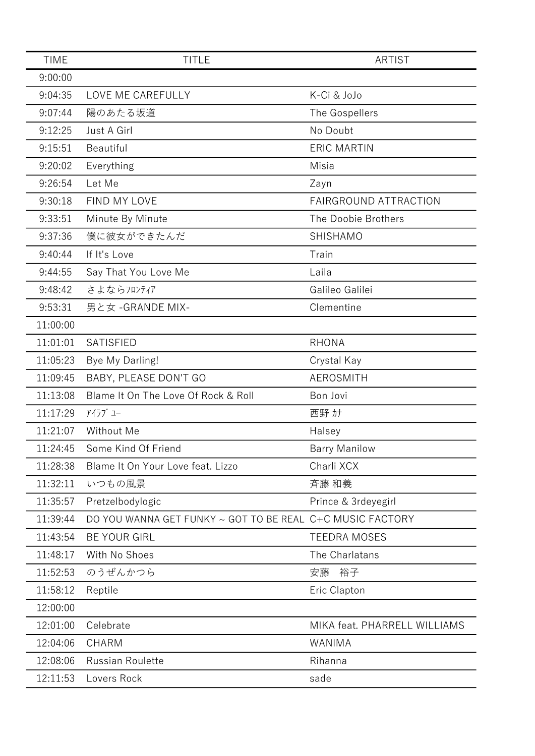| <b>TIME</b> | <b>TITLE</b>                                              | <b>ARTIST</b>                |
|-------------|-----------------------------------------------------------|------------------------------|
| 9:00:00     |                                                           |                              |
| 9:04:35     | LOVE ME CAREFULLY                                         | K-Ci & JoJo                  |
| 9:07:44     | 陽のあたる坂道                                                   | The Gospellers               |
| 9:12:25     | Just A Girl                                               | No Doubt                     |
| 9:15:51     | Beautiful                                                 | <b>ERIC MARTIN</b>           |
| 9:20:02     | Everything                                                | Misia                        |
| 9:26:54     | Let Me                                                    | Zayn                         |
| 9:30:18     | FIND MY LOVE                                              | FAIRGROUND ATTRACTION        |
| 9:33:51     | Minute By Minute                                          | The Doobie Brothers          |
| 9:37:36     | 僕に彼女ができたんだ                                                | SHISHAMO                     |
| 9:40:44     | If It's Love                                              | Train                        |
| 9:44:55     | Say That You Love Me                                      | Laila                        |
| 9:48:42     | さよならフロンティア                                                | Galileo Galilei              |
| 9:53:31     | 男と女 - GRANDE MIX-                                         | Clementine                   |
| 11:00:00    |                                                           |                              |
| 11:01:01    | <b>SATISFIED</b>                                          | <b>RHONA</b>                 |
| 11:05:23    | Bye My Darling!                                           | Crystal Kay                  |
| 11:09:45    | BABY, PLEASE DON'T GO                                     | <b>AEROSMITH</b>             |
| 11:13:08    | Blame It On The Love Of Rock & Roll                       | Bon Jovi                     |
| 11:17:29    | アイラブ ユー                                                   | 西野 カナ                        |
| 11:21:07    | Without Me                                                | Halsey                       |
| 11:24:45    | Some Kind Of Friend                                       | <b>Barry Manilow</b>         |
| 11:28:38    | Blame It On Your Love feat. Lizzo                         | Charli XCX                   |
| 11:32:11    | いつもの風景                                                    | 斉藤 和義                        |
| 11:35:57    | Pretzelbodylogic                                          | Prince & 3rdeyegirl          |
| 11:39:44    | DO YOU WANNA GET FUNKY ~ GOT TO BE REAL C+C MUSIC FACTORY |                              |
| 11:43:54    | <b>BE YOUR GIRL</b>                                       | <b>TEEDRA MOSES</b>          |
| 11:48:17    | With No Shoes                                             | The Charlatans               |
| 11:52:53    | のうぜんかつら                                                   | 安藤<br>裕子                     |
| 11:58:12    | Reptile                                                   | Eric Clapton                 |
| 12:00:00    |                                                           |                              |
| 12:01:00    | Celebrate                                                 | MIKA feat. PHARRELL WILLIAMS |
| 12:04:06    | <b>CHARM</b>                                              | WANIMA                       |
| 12:08:06    | <b>Russian Roulette</b>                                   | Rihanna                      |
| 12:11:53    | Lovers Rock                                               | sade                         |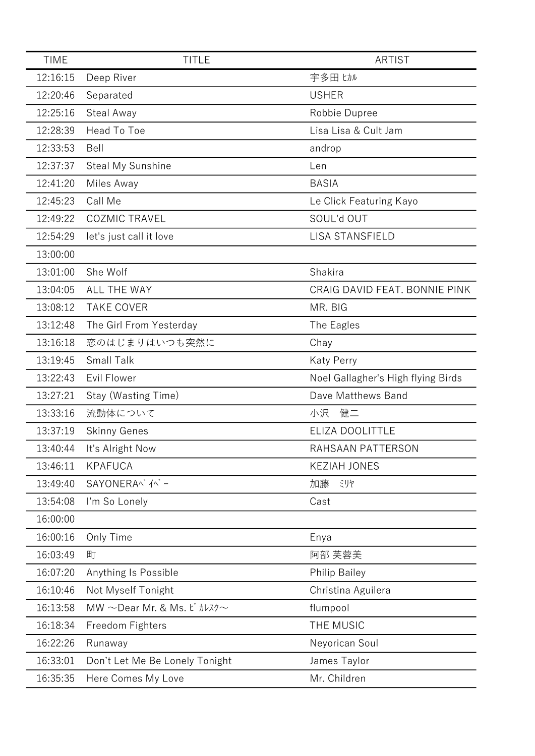| <b>TIME</b> | <b>TITLE</b>                               | <b>ARTIST</b>                      |
|-------------|--------------------------------------------|------------------------------------|
| 12:16:15    | Deep River                                 | 宇多田 ヒカル                            |
| 12:20:46    | Separated                                  | <b>USHER</b>                       |
| 12:25:16    | Steal Away                                 | Robbie Dupree                      |
| 12:28:39    | Head To Toe                                | Lisa Lisa & Cult Jam               |
| 12:33:53    | Bell                                       | androp                             |
| 12:37:37    | Steal My Sunshine                          | Len                                |
| 12:41:20    | Miles Away                                 | <b>BASIA</b>                       |
| 12:45:23    | Call Me                                    | Le Click Featuring Kayo            |
| 12:49:22    | <b>COZMIC TRAVEL</b>                       | SOUL'd OUT                         |
| 12:54:29    | let's just call it love                    | <b>LISA STANSFIELD</b>             |
| 13:00:00    |                                            |                                    |
| 13:01:00    | She Wolf                                   | Shakira                            |
| 13:04:05    | <b>ALL THE WAY</b>                         | CRAIG DAVID FEAT. BONNIE PINK      |
| 13:08:12    | <b>TAKE COVER</b>                          | MR. BIG                            |
| 13:12:48    | The Girl From Yesterday                    | The Eagles                         |
| 13:16:18    | 恋のはじまりはいつも突然に                              | Chay                               |
| 13:19:45    | <b>Small Talk</b>                          | <b>Katy Perry</b>                  |
| 13:22:43    | Evil Flower                                | Noel Gallagher's High flying Birds |
| 13:27:21    | Stay (Wasting Time)                        | Dave Matthews Band                 |
| 13:33:16    | 流動体について                                    | 小沢<br>健二                           |
| 13:37:19    | <b>Skinny Genes</b>                        | ELIZA DOOLITTLE                    |
| 13:40:44    | It's Alright Now                           | RAHSAAN PATTERSON                  |
| 13:46:11    | <b>KPAFUCA</b>                             | <b>KEZIAH JONES</b>                |
| 13:49:40    | SAYONERA^ /^ -                             | 加藤<br>ミリヤ                          |
| 13:54:08    | I'm So Lonely                              | Cast                               |
| 16:00:00    |                                            |                                    |
| 16:00:16    | Only Time                                  | Enya                               |
| 16:03:49    | 町                                          | 阿部 芙蓉美                             |
| 16:07:20    | Anything Is Possible                       | <b>Philip Bailey</b>               |
| 16:10:46    | Not Myself Tonight                         | Christina Aguilera                 |
| 16:13:58    | MW $\sim$ Dear Mr. & Ms. Ł $\hbar$ $\hbar$ | flumpool                           |
| 16:18:34    | Freedom Fighters                           | THE MUSIC                          |
| 16:22:26    | Runaway                                    | Neyorican Soul                     |
| 16:33:01    | Don't Let Me Be Lonely Tonight             | James Taylor                       |
| 16:35:35    | Here Comes My Love                         | Mr. Children                       |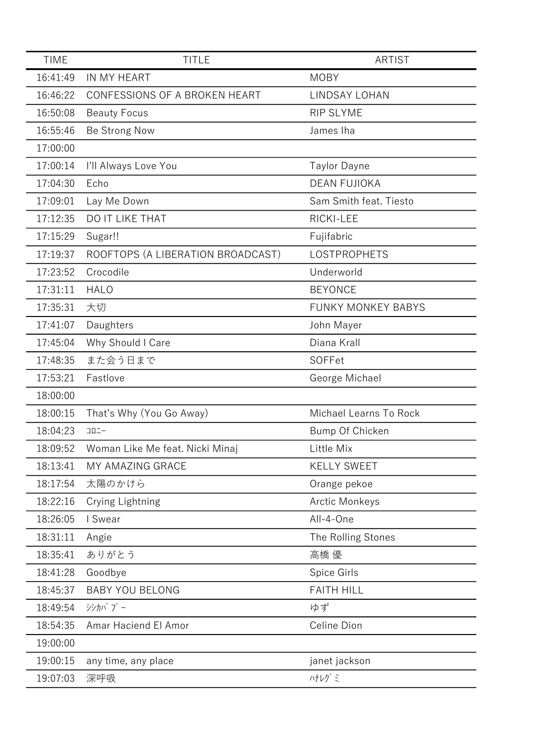| <b>TIME</b> | <b>TITLE</b>                      | <b>ARTIST</b>             |
|-------------|-----------------------------------|---------------------------|
| 16:41:49    | IN MY HEART                       | <b>MOBY</b>               |
| 16:46:22    | CONFESSIONS OF A BROKEN HEART     | LINDSAY LOHAN             |
| 16:50:08    | <b>Beauty Focus</b>               | <b>RIP SLYME</b>          |
| 16:55:46    | Be Strong Now                     | James Iha                 |
| 17:00:00    |                                   |                           |
| 17:00:14    | I'll Always Love You              | <b>Taylor Dayne</b>       |
| 17:04:30    | Echo                              | <b>DEAN FUJIOKA</b>       |
| 17:09:01    | Lay Me Down                       | Sam Smith feat. Tiesto    |
| 17:12:35    | DO IT LIKE THAT                   | RICKI-LEE                 |
| 17:15:29    | Sugar!!                           | Fujifabric                |
| 17:19:37    | ROOFTOPS (A LIBERATION BROADCAST) | <b>LOSTPROPHETS</b>       |
| 17:23:52    | Crocodile                         | Underworld                |
| 17:31:11    | <b>HALO</b>                       | <b>BEYONCE</b>            |
| 17:35:31    | 大切                                | <b>FUNKY MONKEY BABYS</b> |
| 17:41:07    | Daughters                         | John Mayer                |
| 17:45:04    | Why Should I Care                 | Diana Krall               |
| 17:48:35    | また会う日まで                           | <b>SOFFet</b>             |
| 17:53:21    | Fastlove                          | George Michael            |
| 18:00:00    |                                   |                           |
| 18:00:15    | That's Why (You Go Away)          | Michael Learns To Rock    |
| 18:04:23    | $\Box \Box \Box -$                | Bump Of Chicken           |
| 18:09:52    | Woman Like Me feat. Nicki Minaj   | Little Mix                |
| 18:13:41    | MY AMAZING GRACE                  | <b>KELLY SWEET</b>        |
| 18:17:54    | 太陽のかけら                            | Orange pekoe              |
| 18:22:16    | Crying Lightning                  | <b>Arctic Monkeys</b>     |
| 18:26:05    | I Swear                           | All-4-One                 |
| 18:31:11    | Angie                             | The Rolling Stones        |
| 18:35:41    | ありがとう                             | 高橋 優                      |
| 18:41:28    | Goodbye                           | Spice Girls               |
| 18:45:37    | <b>BABY YOU BELONG</b>            | <b>FAITH HILL</b>         |
| 18:49:54    | シシカバ ブー                           | ゆず                        |
| 18:54:35    | Amar Haciend El Amor              | Celine Dion               |
| 19:00:00    |                                   |                           |
| 19:00:15    | any time, any place               | janet jackson             |
| 19:07:03    | 深呼吸                               | ハナレグミ                     |
|             |                                   |                           |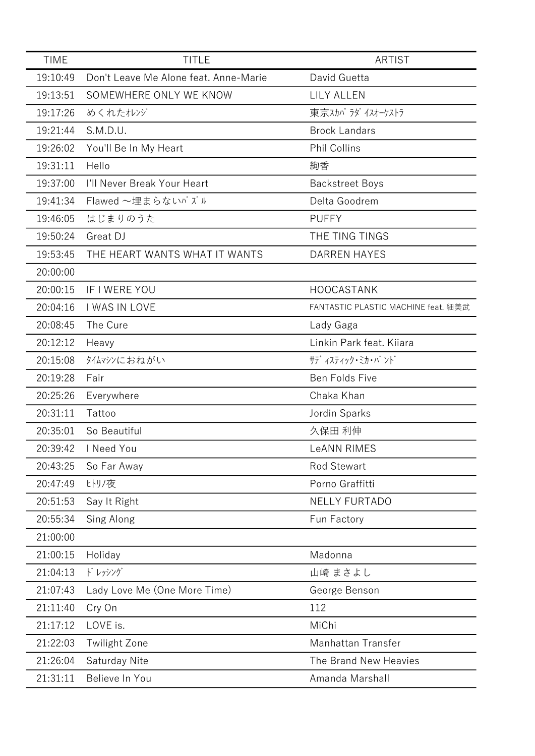| <b>TIME</b> | <b>TITLE</b>                          | <b>ARTIST</b>                       |
|-------------|---------------------------------------|-------------------------------------|
| 19:10:49    | Don't Leave Me Alone feat. Anne-Marie | David Guetta                        |
| 19:13:51    | SOMEWHERE ONLY WE KNOW                | LILY ALLEN                          |
| 19:17:26    | めくれたオレンジ                              | 東京スカパラダイスオーケストラ                     |
| 19:21:44    | S.M.D.U.                              | <b>Brock Landars</b>                |
| 19:26:02    | You'll Be In My Heart                 | <b>Phil Collins</b>                 |
| 19:31:11    | Hello                                 | 絢香                                  |
| 19:37:00    | I'll Never Break Your Heart           | <b>Backstreet Boys</b>              |
| 19:41:34    | Flawed ~埋まらないパズル                      | Delta Goodrem                       |
| 19:46:05    | はじまりのうた                               | <b>PUFFY</b>                        |
| 19:50:24    | Great DJ                              | THE TING TINGS                      |
| 19:53:45    | THE HEART WANTS WHAT IT WANTS         | <b>DARREN HAYES</b>                 |
| 20:00:00    |                                       |                                     |
| 20:00:15    | IF I WERE YOU                         | <b>HOOCASTANK</b>                   |
| 20:04:16    | I WAS IN LOVE                         | FANTASTIC PLASTIC MACHINE feat. 細美武 |
| 20:08:45    | The Cure                              | Lady Gaga                           |
| 20:12:12    | Heavy                                 | Linkin Park feat. Kiiara            |
| 20:15:08    | タイムマシンにおねがい                           | サテ゛ィスティック・ミカ・バ ント゛                  |
| 20:19:28    | Fair                                  | Ben Folds Five                      |
| 20:25:26    | Everywhere                            | Chaka Khan                          |
| 20:31:11    | Tattoo                                | Jordin Sparks                       |
| 20:35:01    | So Beautiful                          | 久保田 利伸                              |
| 20:39:42    | I Need You                            | <b>LeANN RIMES</b>                  |
| 20:43:25    | So Far Away                           | <b>Rod Stewart</b>                  |
| 20:47:49    | ヒトリノ夜                                 | Porno Graffitti                     |
| 20:51:53    | Say It Right                          | <b>NELLY FURTADO</b>                |
| 20:55:34    | Sing Along                            | Fun Factory                         |
| 21:00:00    |                                       |                                     |
| 21:00:15    | Holiday                               | Madonna                             |
| 21:04:13    | ドレッシング                                | 山崎 まさよし                             |
| 21:07:43    | Lady Love Me (One More Time)          | George Benson                       |
| 21:11:40    | Cry On                                | 112                                 |
| 21:17:12    | LOVE is.                              | MiChi                               |
| 21:22:03    | <b>Twilight Zone</b>                  | Manhattan Transfer                  |
| 21:26:04    | Saturday Nite                         | The Brand New Heavies               |
| 21:31:11    | Believe In You                        | Amanda Marshall                     |